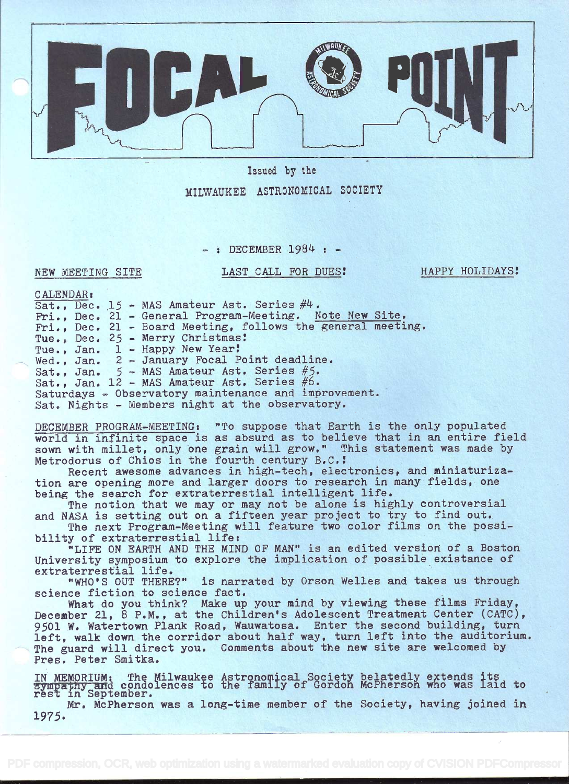

Issued by the

MILWAUKEE ASTRONOMICAL SOCIETY

 $-:$  DECEMBER 1984 :  $-$ 

### NEW MEETING SITE

LAST CALL FOR DUES! HAPPY HOLIDAYS!

CALENDAR:

| Sat., Dec. $15$ - MAS Amateur Ast. Series $\#4$ .<br>Fri., Dec. 21 - General Program-Meeting. Note New Site.<br>Fri., Dec. 21 - Board Meeting, follows the general meeting.<br>Tue., Dec. 25 - Merry Christmas!<br>Tue., Jan. 1 - Happy New Year!<br>Wed., Jan. 2 - January Focal Point deadline.                                                                                                                                                                                                                                                                                                                                                                                                                                                                                                                              |
|--------------------------------------------------------------------------------------------------------------------------------------------------------------------------------------------------------------------------------------------------------------------------------------------------------------------------------------------------------------------------------------------------------------------------------------------------------------------------------------------------------------------------------------------------------------------------------------------------------------------------------------------------------------------------------------------------------------------------------------------------------------------------------------------------------------------------------|
| Sat., Jan. 5 - MAS Amateur Ast. Series #5.<br>Sat., Jan. 12 - MAS Amateur Ast. Series #6.<br>Saturdays - Observatory maintenance and improvement.<br>Sat. Nights - Members night at the observatory.                                                                                                                                                                                                                                                                                                                                                                                                                                                                                                                                                                                                                           |
| DECEMBER PROGRAM-MEETING: "To suppose that Earth is the only populated<br>world in infinite space is as absurd as to believe that in an entire field<br>sown with millet, only one grain will grow." This statement was made by<br>Metrodorus of Chios in the fourth century B.C.!<br>Recent awesome advances in high-tech, electronics, and miniaturiza-<br>tion are opening more and larger doors to research in many fields, one<br>being the search for extraterrestial intelligent life.<br>The notion that we may or may not be alone is highly controversial<br>and NASA is setting out on a fifteen year project to try to find out.<br>The next Program-Meeting will feature two color films on the possi-<br>bility of extraterrestial life:<br>"LIFE ON EARTH AND THE MIND OF MAN" is an edited version of a Boston |
| University symposium to explore the implication of possible existance of<br>extraterrestial life.<br>"WHO'S OUT THERE?" is narrated by Orson Welles and takes us through                                                                                                                                                                                                                                                                                                                                                                                                                                                                                                                                                                                                                                                       |
| science fiction to science fact.<br>What do you think? Make up your mind by viewing these films Friday,<br>December 21, 8 P.M., at the Children's Adolescent Treatment Center (CATC),<br>9501 W. Watertown Plank Road, Wauwatosa. Enter the second building, turn<br>left, walk down the corridor about half way, turn left into the auditorium.<br>The guard will direct you. Comments about the new site are welcomed by<br>Pres. Peter Smitka.                                                                                                                                                                                                                                                                                                                                                                              |
| IN MEMORIUM: The Milwaukee Astronomical Society belatedly extends its<br>sympathy and condolences to the family of Gordon McPherson who was laid to<br>rest in September.                                                                                                                                                                                                                                                                                                                                                                                                                                                                                                                                                                                                                                                      |

Mr. McPherson was a long-time member of the Society, having joined in 1975.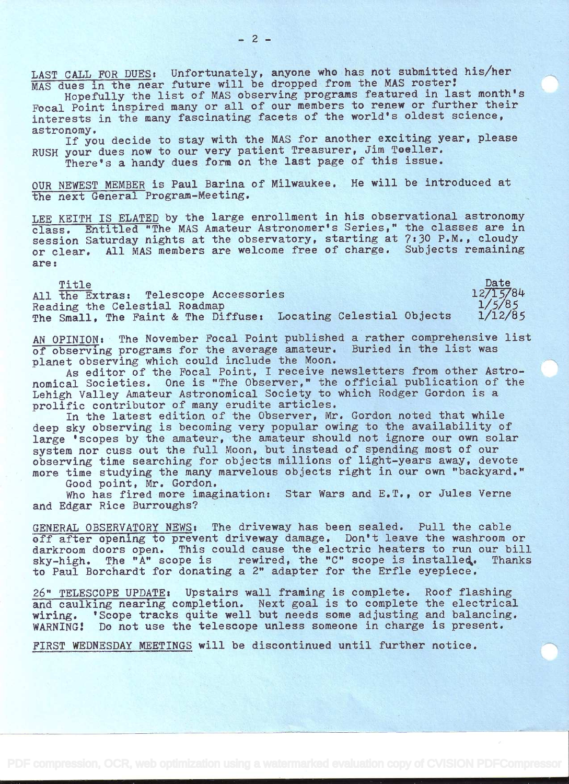LAST CALL FOR DUES: Unfortunately, anyone who has not submitted his/her MAS dues in the near future will be dropped from the MAS roster!

Hopefully the list of MAS observing programs featured in last month's Focal Point inspired many or all of our members to renew or further their interests in the many fascinating facets of the world's oldest science, astronomy.

If you decide to stay with the MAS for another exciting year, please RUSH your dues now to our very patient Treasurer, Jim Toeller.

There's a handy dues form on the last page of this issue.

OUR NEWEST MEMBER is Paul Barina of Milwaukee. He will be introduced at the next General Program-Meeting.

LEE KEITH IS ELATED by the large enrollment in his observational astronomy class. Entitled "The MAS Amateur Astronomer's Series," the classes are in session Saturday nights at the observatory, starting at 7:30 P.M., cloudy or clear. All MAS members are welcome free of charge. Subjects remaining are:

Title Date by Date of the Contract of the Date of the Date of the Date of the Date of the Date of the Date of the Date of the Date of the Date of the Date of the Date of the Date of the Date of the Date of the Date of the All the Extras: Telescope Accessories 12/15/84<br>Reading the Celestial Roadmap 1/5/85 Reading the Celestial Roadmap<br>The Small, The Faint & The Diffuse: Locating Celestial Objects 1/12/85 The Small, The Faint & The Diffuse: Locating Celestial Objects

AN OPINION: The November Focal Point published a rather comprehensive list of observing programs for the average amateur. Buried in the list was planet observing which could include the Moon.

As editor of the Focal Point, I receive newsletters from other Astronomical Societies. One is "The Observer," the official publication of the Lehigh Valley Amateur Astronomical Society to which Rodger Gordon is a prolific contributor of many erudite articles.

In the latest edition of the Observer, Mr. Gordon noted that while deep sky observing is becoming very popular owing to the availability of large 'scopes by the amateur, the amateur should not ignore our own solar system nor cuss out the full Moon, but instead of spending most of our observing time searching for objects millions of light-years away, devote more time studying the many marvelous objects right in our own "backyard."

Good point, Mr. Gordon.

Who has fired more imagination: Star Wars and E.T., or Jules Verne and Edgar Rice Burroughs?

GENERAL OBSERVATORY NEWSt The driveway has been sealed. Pull the cable off after opening to prevent driveway damage. Don't leave the washroom or darkroom doors open. This could cause the electric heaters to run our bill<br>sky-high. The "A" scope is rewired, the "C" scope is installed. Thanks rewired, the "C" scope is installed. to Paul Borchardt for donating a 2" adapter for the Erfie eyepiece.

26" TELESCOPE UPDATE: Upstairs wall framing is complete. Roof flashing and caulking nearing completion. Next goal is to complete the electrical wiring. 'Scope tracks quite well but needs some adjusting and balancing. WARNING! Do not use the telescope unless someone in charge is present.

FIRST WEDNESDAY MEETINGS will be discontinued until further notice.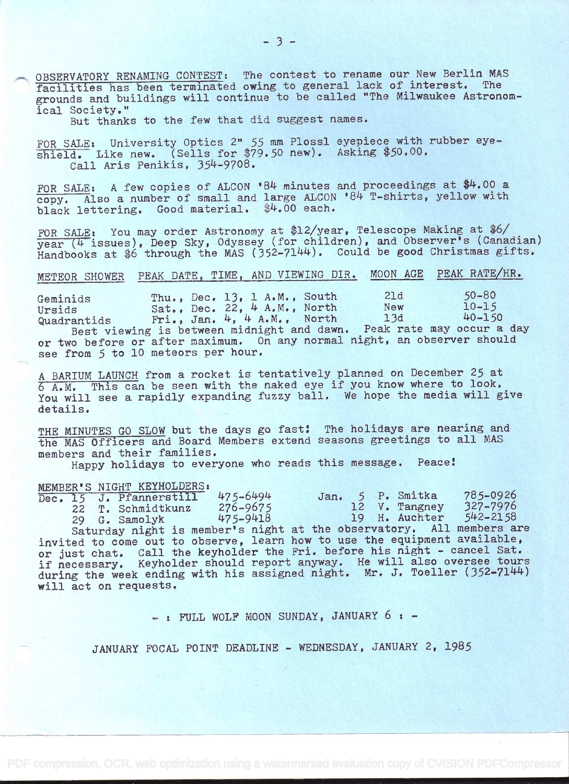OBSERVATORY RENAMING CONTEST: The contest to rename our New Berlin MAS facilities has been terminated owing to general lack of interest. grounds and buildings will continue to be called "The Milwaukee Astronomical Society."

But thanks to the few that did suggest names.

FOR SALE: University Optics 2" 55 mm Plossl eyepiece with rubber eyeshield. Like new. (Sells for \$79.50 new). Asking \$50.00. Call Aris Penikis, 354-9708.

FOR SALE: A few copies of ALCON  $B4$  minutes and proceedings at \$4.00 a copy. Also a number of small and large ALCON '84 T-shirts, yellow with black lettering. Good material. \$4.00 each.

FOR SALE: You may order Astronomy at \$12/year, Telescope Making at \$6/  $\frac{1}{\sqrt{4}}$  issues), Deep Sky, Odyssey (for children), and Observer's (Canadian) Handbooks at \$6 through the MAS (352-7144). Could be good Christmas gifts.

# METEOR SHOWER PEAK DATE, TIME, AND VIEWING DIR. MOON AGE PEAK RATE/HR.

Geminids Thu., Dec. 13, 1 A.M., South 21d 50-80<br>Ursids Sat., Dec. 22, 4 A.M., North New 10-15 Ursids Sat., Dec. 22, 4 A.M., North New 10-15 Quadrantids  $Fri.$ , Jan.  $4.4 A.M.$ , North 13d  $40-150$ Quadrantids Fri., Jan. 4, 4 A.M., North 13d 40-150<br>Best viewing is between midnight and dawn. Peak rate may occur a day or two before or after maximum. On any normal night, an observer should see from 5 to 10 meteors per hour.

<sup>A</sup>BARIUM LAUNCH from a rocket is tentatively planned on December 25 at <sup>6</sup>A.M. This can be seen with the naked eye if you know where to look. You will see a rapidly expanding fuzzy ball. We hope the media will give details.

THE MINUTES GO SLOW but the days go fast: The holidays are nearing and the MAS Officers and Board Members extend seasons greetings to all MAS members and their families.

Happy holidays to everyone who reads this message. Peace!

MEMBER'S NIGHT KEYHOLDERS:<br>Dec. 15 J. Pfannerstill 475-6494 Dec. 15 J. Pfannerstill 475-6494 Jan. 5 P. Smitka 785-0926<br>22 T. Schmidtkunz 276-9675 12 V. Tangney 327-7976 T. Schmidtkunz 276-9675 12 V. Tangney 327-7976<br>
G. Samolyk 475-9418 19 H. Auchter 542-2158 29 G. Samolyk 475-9418. 19 H. Auchter 542-2158 Saturday night is member's night at the observatory. All members are invited to come out to observe, learn how to use the equipment available, or just chat. Call the keyholder the Fri. before his night - cancel Sat. if necessary. Keyholder should report anyway. He will also oversee tours during the week ending with his assigned night. Mr. J. Toeller (352-7144) will act on requests.

-: FULL WOLF MOON SUNDAY, JANUARY 6 : -

JANUARY FOCAL POINT DEADLINE - WEDNESDAY, JANUARY 2, 1985